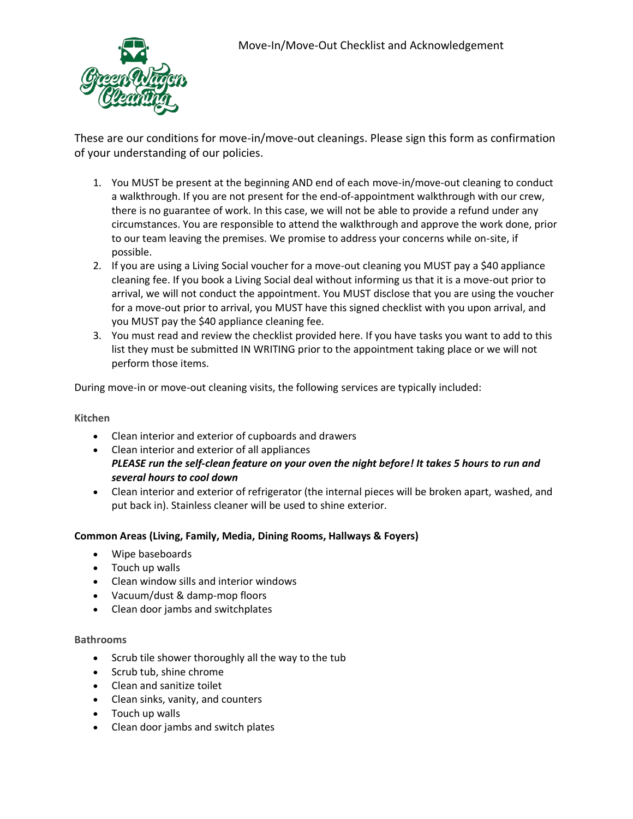

These are our conditions for move-in/move-out cleanings. Please sign this form as confirmation of your understanding of our policies.

- 1. You MUST be present at the beginning AND end of each move-in/move-out cleaning to conduct a walkthrough. If you are not present for the end-of-appointment walkthrough with our crew, there is no guarantee of work. In this case, we will not be able to provide a refund under any circumstances. You are responsible to attend the walkthrough and approve the work done, prior to our team leaving the premises. We promise to address your concerns while on-site, if possible.
- 2. If you are using a Living Social voucher for a move-out cleaning you MUST pay a \$40 appliance cleaning fee. If you book a Living Social deal without informing us that it is a move-out prior to arrival, we will not conduct the appointment. You MUST disclose that you are using the voucher for a move-out prior to arrival, you MUST have this signed checklist with you upon arrival, and you MUST pay the \$40 appliance cleaning fee.
- 3. You must read and review the checklist provided here. If you have tasks you want to add to this list they must be submitted IN WRITING prior to the appointment taking place or we will not perform those items.

During move-in or move-out cleaning visits, the following services are typically included:

## **Kitchen**

- Clean interior and exterior of cupboards and drawers
- Clean interior and exterior of all appliances *PLEASE run the self-clean feature on your oven the night before! It takes 5 hours to run and several hours to cool down*
- Clean interior and exterior of refrigerator (the internal pieces will be broken apart, washed, and put back in). Stainless cleaner will be used to shine exterior.

## **Common Areas (Living, Family, Media, Dining Rooms, Hallways & Foyers)**

- Wipe baseboards
- Touch up walls
- Clean window sills and interior windows
- Vacuum/dust & damp-mop floors
- Clean door jambs and switchplates

## **Bathrooms**

- Scrub tile shower thoroughly all the way to the tub
- Scrub tub, shine chrome
- Clean and sanitize toilet
- Clean sinks, vanity, and counters
- Touch up walls
- Clean door jambs and switch plates